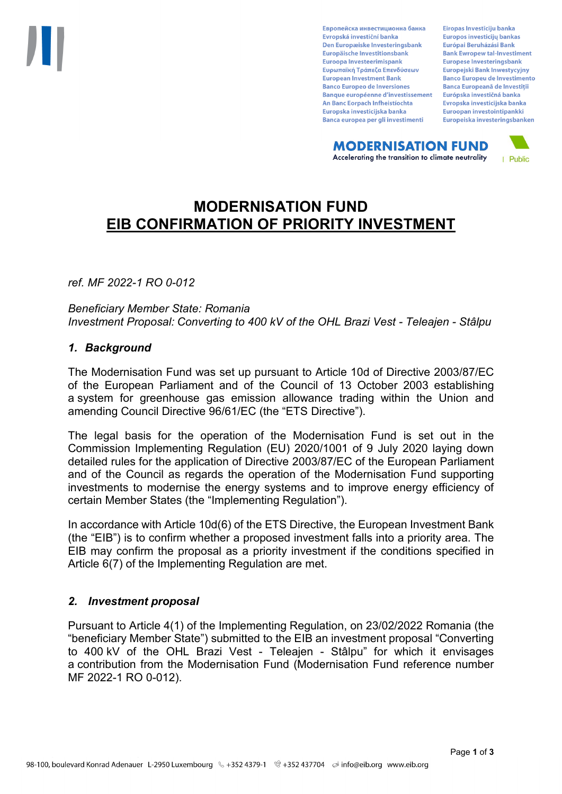Европейска инвестиционна банка Evropská investiční banka Den Europæiske Investeringsbank Europäische Investitionsbank Euroopa Investeerimispank Ευρωπαϊκή Τράπεζα Επενδύσεων **European Investment Bank Banco Europeo de Inversiones Banque européenne d'investissement** An Banc Eorpach Infheistíochta Europska investicijska banka Banca europea per gli investimenti

Eiropas Investīciju banka Europos investicijų bankas Európai Beruházási Bank **Bank Ewropew tal-Investiment** Europese Investeringsbank **Europeiski Bank Inwestycviny Banco Europeu de Investimento Banca Europeană de Investiții** Európska investičná banka Evropska investicijska banka Euroopan investointipankki Europeiska investeringsbanken

**MODERNISATION FUND** Accelerating the transition to climate neutrality



# **MODERNISATION FUND EIB CONFIRMATION OF PRIORITY INVESTMENT**

*ref. MF 2022-1 RO 0-012*

*Beneficiary Member State: Romania Investment Proposal: Converting to 400 kV of the OHL Brazi Vest - Teleajen - Stâlpu*

### *1. Background*

The Modernisation Fund was set up pursuant to Article 10d of Directive 2003/87/EC of the European Parliament and of the Council of 13 October 2003 establishing a system for greenhouse gas emission allowance trading within the Union and amending Council Directive 96/61/EC (the "ETS Directive").

The legal basis for the operation of the Modernisation Fund is set out in the Commission Implementing Regulation (EU) 2020/1001 of 9 July 2020 laying down detailed rules for the application of Directive 2003/87/EC of the European Parliament and of the Council as regards the operation of the Modernisation Fund supporting investments to modernise the energy systems and to improve energy efficiency of certain Member States (the "Implementing Regulation").

In accordance with Article 10d(6) of the ETS Directive, the European Investment Bank (the "EIB") is to confirm whether a proposed investment falls into a priority area. The EIB may confirm the proposal as a priority investment if the conditions specified in Article 6(7) of the Implementing Regulation are met.

# *2. Investment proposal*

Pursuant to Article 4(1) of the Implementing Regulation, on 23/02/2022 Romania (the "beneficiary Member State") submitted to the EIB an investment proposal "Converting to 400 kV of the OHL Brazi Vest - Teleajen - Stâlpu" for which it envisages a contribution from the Modernisation Fund (Modernisation Fund reference number MF 2022-1 RO 0-012).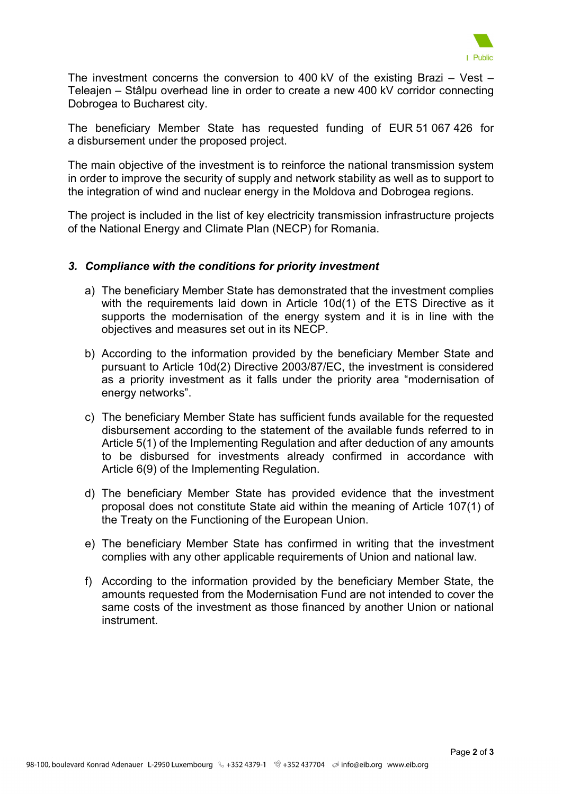

The investment concerns the conversion to 400 kV of the existing Brazi – Vest – Teleajen – Stâlpu overhead line in order to create a new 400 kV corridor connecting Dobrogea to Bucharest city.

The beneficiary Member State has requested funding of EUR 51 067 426 for a disbursement under the proposed project.

The main objective of the investment is to reinforce the national transmission system in order to improve the security of supply and network stability as well as to support to the integration of wind and nuclear energy in the Moldova and Dobrogea regions.

The project is included in the list of key electricity transmission infrastructure projects of the National Energy and Climate Plan (NECP) for Romania.

### *3. Compliance with the conditions for priority investment*

- a) The beneficiary Member State has demonstrated that the investment complies with the requirements laid down in Article 10d(1) of the ETS Directive as it supports the modernisation of the energy system and it is in line with the objectives and measures set out in its NECP.
- b) According to the information provided by the beneficiary Member State and pursuant to Article 10d(2) Directive 2003/87/EC, the investment is considered as a priority investment as it falls under the priority area "modernisation of energy networks".
- c) The beneficiary Member State has sufficient funds available for the requested disbursement according to the statement of the available funds referred to in Article 5(1) of the Implementing Regulation and after deduction of any amounts to be disbursed for investments already confirmed in accordance with Article 6(9) of the Implementing Regulation.
- d) The beneficiary Member State has provided evidence that the investment proposal does not constitute State aid within the meaning of Article 107(1) of the Treaty on the Functioning of the European Union.
- e) The beneficiary Member State has confirmed in writing that the investment complies with any other applicable requirements of Union and national law.
- f) According to the information provided by the beneficiary Member State, the amounts requested from the Modernisation Fund are not intended to cover the same costs of the investment as those financed by another Union or national instrument.